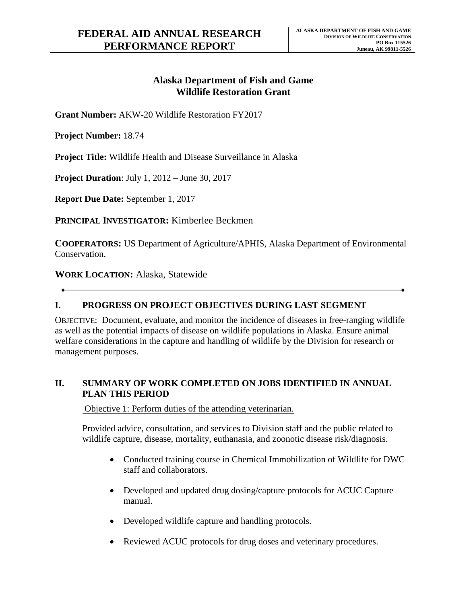## **Alaska Department of Fish and Game Wildlife Restoration Grant**

**Grant Number:** AKW-20 Wildlife Restoration FY2017

**Project Number:** 18.74

**Project Title:** Wildlife Health and Disease Surveillance in Alaska

**Project Duration**: July 1, 2012 – June 30, 2017

**Report Due Date:** September 1, 2017

**PRINCIPAL INVESTIGATOR:** Kimberlee Beckmen

**COOPERATORS:** US Department of Agriculture/APHIS, Alaska Department of Environmental Conservation.

**WORK LOCATION:** Alaska, Statewide

#### **I. PROGRESS ON PROJECT OBJECTIVES DURING LAST SEGMENT**

OBJECTIVE: Document, evaluate, and monitor the incidence of diseases in free-ranging wildlife as well as the potential impacts of disease on wildlife populations in Alaska. Ensure animal welfare considerations in the capture and handling of wildlife by the Division for research or management purposes.

#### **II. SUMMARY OF WORK COMPLETED ON JOBS IDENTIFIED IN ANNUAL PLAN THIS PERIOD**

Objective 1: Perform duties of the attending veterinarian.

Provided advice, consultation, and services to Division staff and the public related to wildlife capture, disease, mortality, euthanasia, and zoonotic disease risk/diagnosis.

- staff and collaborators. • Conducted training course in Chemical Immobilization of Wildlife for DWC
- Developed and updated drug dosing/capture protocols for ACUC Capture manual.
- Developed wildlife capture and handling protocols.
- Reviewed ACUC protocols for drug doses and veterinary procedures.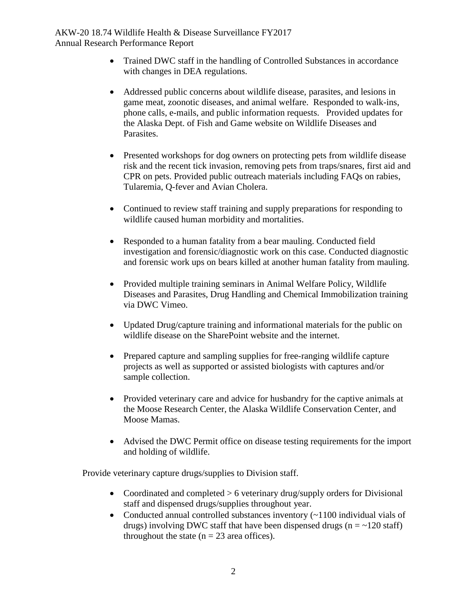- with changes in DEA regulations. • Trained DWC staff in the handling of Controlled Substances in accordance
- • Addressed public concerns about wildlife disease, parasites, and lesions in game meat, zoonotic diseases, and animal welfare. Responded to walk-ins, phone calls, e-mails, and public information requests. Provided updates for the Alaska Dept. of Fish and Game website on Wildlife Diseases and Parasites.
- Presented workshops for dog owners on protecting pets from wildlife disease risk and the recent tick invasion, removing pets from traps/snares, first aid and CPR on pets. Provided public outreach materials including FAQs on rabies, Tularemia, Q-fever and Avian Cholera.
- Continued to review staff training and supply preparations for responding to wildlife caused human morbidity and mortalities.
- Responded to a human fatality from a bear mauling. Conducted field investigation and forensic/diagnostic work on this case. Conducted diagnostic and forensic work ups on bears killed at another human fatality from mauling.
- Provided multiple training seminars in Animal Welfare Policy, Wildlife Diseases and Parasites, Drug Handling and Chemical Immobilization training via DWC Vimeo.
- wildlife disease on the SharePoint website and the internet. • Updated Drug/capture training and informational materials for the public on
- projects as well as supported or assisted biologists with captures and/or • Prepared capture and sampling supplies for free-ranging wildlife capture sample collection.
- • Provided veterinary care and advice for husbandry for the captive animals at the Moose Research Center, the Alaska Wildlife Conservation Center, and Moose Mamas.
- and holding of wildlife. • Advised the DWC Permit office on disease testing requirements for the import

Provide veterinary capture drugs/supplies to Division staff.

- Coordinated and completed > 6 veterinary drug/supply orders for Divisional staff and dispensed drugs/supplies throughout year.
- Conducted annual controlled substances inventory (~1100 individual vials of throughout the state  $(n = 23 \text{ area of } f$ . drugs) involving DWC staff that have been dispensed drugs ( $n = -120$  staff)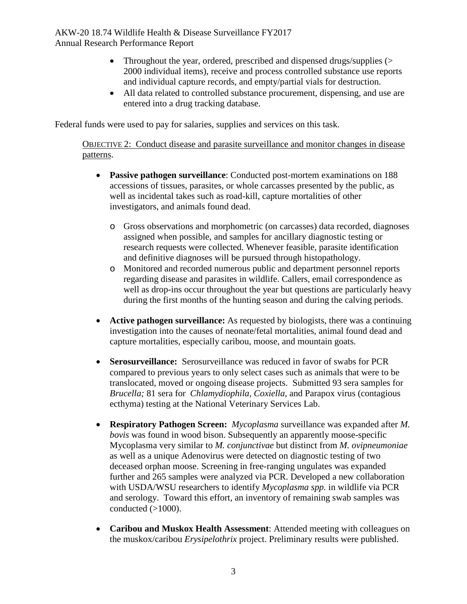- 2000 individual items), receive and process controlled substance use reports • Throughout the year, ordered, prescribed and dispensed drugs/supplies (> and individual capture records, and empty/partial vials for destruction.
- All data related to controlled substance procurement, dispensing, and use are entered into a drug tracking database.

Federal funds were used to pay for salaries, supplies and services on this task.

 OBJECTIVE 2: Conduct disease and parasite surveillance and monitor changes in disease patterns.

- • **Passive pathogen surveillance**: Conducted post-mortem examinations on 188 accessions of tissues, parasites, or whole carcasses presented by the public, as well as incidental takes such as road-kill, capture mortalities of other investigators, and animals found dead.
	- and definitive diagnoses will be pursued through histopathology. o Gross observations and morphometric (on carcasses) data recorded, diagnoses assigned when possible, and samples for ancillary diagnostic testing or research requests were collected. Whenever feasible, parasite identification
	- o Monitored and recorded numerous public and department personnel reports regarding disease and parasites in wildlife. Callers, email correspondence as well as drop-ins occur throughout the year but questions are particularly heavy during the first months of the hunting season and during the calving periods.
- • **Active pathogen surveillance:** As requested by biologists, there was a continuing capture mortalities, especially caribou, moose, and mountain goats. investigation into the causes of neonate/fetal mortalities, animal found dead and
- • **Serosurveillance:** Serosurveillance was reduced in favor of swabs for PCR translocated, moved or ongoing disease projects. Submitted 93 sera samples for *Brucella;* 81 sera for *Chlamydiophila, Coxiella*, and Parapox virus (contagious compared to previous years to only select cases such as animals that were to be ecthyma) testing at the National Veterinary Services Lab.
- • **Respiratory Pathogen Screen:** *Mycoplasma* surveillance was expanded after *M.*  and serology. Toward this effort, an inventory of remaining swab samples was *bovis* was found in wood bison. Subsequently an apparently moose-specific Mycoplasma very similar to *M. conjunctivae* but distinct from *M. ovipneumoniae*  as well as a unique Adenovirus were detected on diagnostic testing of two deceased orphan moose. Screening in free-ranging ungulates was expanded further and 265 samples were analyzed via PCR. Developed a new collaboration with USDA/WSU researchers to identify *Mycoplasma spp.* in wildlife via PCR conducted  $(>1000)$ .
- the muskox/caribou *Erysipelothrix* project. Preliminary results were published. • **Caribou and Muskox Health Assessment**: Attended meeting with colleagues on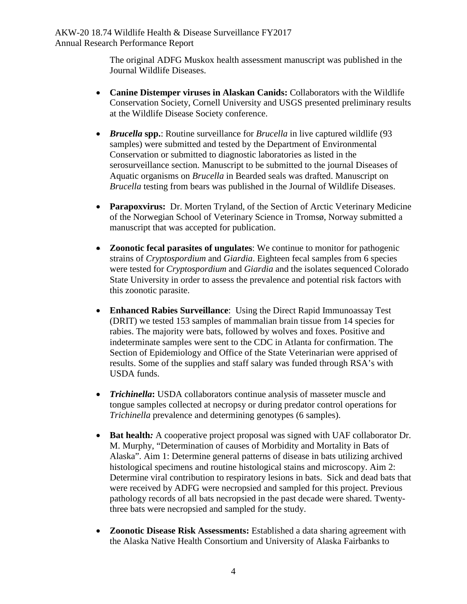The original ADFG Muskox health assessment manuscript was published in the Journal Wildlife Diseases.

- • **Canine Distemper viruses in Alaskan Canids:** Collaborators with the Wildlife Conservation Society, Cornell University and USGS presented preliminary results at the Wildlife Disease Society conference.
- *Brucella spp.*: Routine surveillance for *Brucella* in live captured wildlife (93) samples) were submitted and tested by the Department of Environmental Conservation or submitted to diagnostic laboratories as listed in the serosurveillance section. Manuscript to be submitted to the journal Diseases of Aquatic organisms on *Brucella* in Bearded seals was drafted. Manuscript on *Brucella* testing from bears was published in the Journal of Wildlife Diseases.
- • **Parapoxvirus:** Dr. Morten Tryland, of the Section of Arctic Veterinary Medicine of the Norwegian School of Veterinary Science in Tromsø, Norway submitted a manuscript that was accepted for publication.
- strains of *Cryptospordium* and *Giardia*. Eighteen fecal samples from 6 species State University in order to assess the prevalence and potential risk factors with this zoonotic parasite. • **Zoonotic fecal parasites of ungulates**: We continue to monitor for pathogenic were tested for *Cryptospordium* and *Giardia* and the isolates sequenced Colorado
- (DRIT) we tested 153 samples of mammalian brain tissue from 14 species for • **Enhanced Rabies Surveillance**: Using the Direct Rapid Immunoassay Test rabies. The majority were bats, followed by wolves and foxes. Positive and indeterminate samples were sent to the CDC in Atlanta for confirmation. The Section of Epidemiology and Office of the State Veterinarian were apprised of results. Some of the supplies and staff salary was funded through RSA's with USDA funds.
- *Trichinella* prevalence and determining genotypes (6 samples). • *Trichinella*: USDA collaborators continue analysis of masseter muscle and tongue samples collected at necropsy or during predator control operations for
- M. Murphy, "Determination of causes of Morbidity and Mortality in Bats of were received by ADFG were necropsied and sampled for this project. Previous • Bat health: A cooperative project proposal was signed with UAF collaborator Dr. Alaska". Aim 1: Determine general patterns of disease in bats utilizing archived histological specimens and routine histological stains and microscopy. Aim 2: Determine viral contribution to respiratory lesions in bats. Sick and dead bats that pathology records of all bats necropsied in the past decade were shared. Twentythree bats were necropsied and sampled for the study.
- • **Zoonotic Disease Risk Assessments:** Established a data sharing agreement with the Alaska Native Health Consortium and University of Alaska Fairbanks to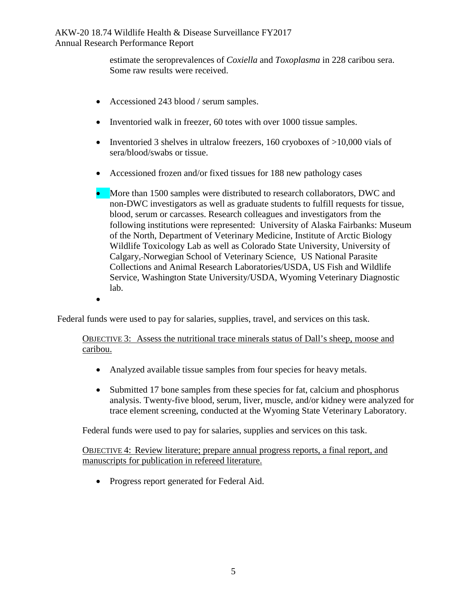estimate the seroprevalences of *Coxiella* and *Toxoplasma* in 228 caribou sera. Some raw results were received.

- Accessioned 243 blood / serum samples.
- Inventoried walk in freezer, 60 totes with over 1000 tissue samples.
- Inventoried 3 shelves in ultralow freezers, 160 cryoboxes of  $>10,000$  vials of sera/blood/swabs or tissue.
- Accessioned frozen and/or fixed tissues for 188 new pathology cases
- following institutions were represented: University of Alaska Fairbanks: Museum of the North, Department of Veterinary Medicine, Institute of Arctic Biology Wildlife Toxicology Lab as well as Colorado State University, University of • More than 1500 samples were distributed to research collaborators, DWC and non-DWC investigators as well as graduate students to fulfill requests for tissue, blood, serum or carcasses. Research colleagues and investigators from the Calgary, Norwegian School of Veterinary Science, US National Parasite Collections and Animal Research Laboratories/USDA, US Fish and Wildlife Service, Washington State University/USDA, Wyoming Veterinary Diagnostic lab.
- •

Federal funds were used to pay for salaries, supplies, travel, and services on this task.

### OBJECTIVE 3: Assess the nutritional trace minerals status of Dall's sheep, moose and caribou.

- Analyzed available tissue samples from four species for heavy metals.
- Submitted 17 bone samples from these species for fat, calcium and phosphorus trace element screening, conducted at the Wyoming State Veterinary Laboratory. analysis. Twenty-five blood, serum, liver, muscle, and/or kidney were analyzed for

Federal funds were used to pay for salaries, supplies and services on this task.

 OBJECTIVE 4: Review literature; prepare annual progress reports, a final report, and manuscripts for publication in refereed literature.

• Progress report generated for Federal Aid. • Progress report generated for Federal Aid.<br>
5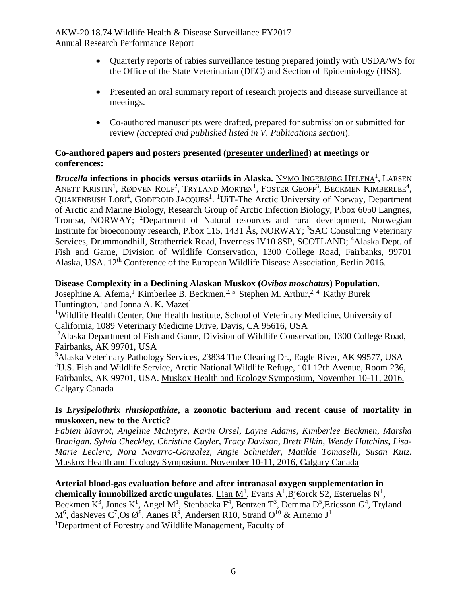- Quarterly reports of rabies surveillance testing prepared jointly with USDA/WS for the Office of the State Veterinarian (DEC) and Section of Epidemiology (HSS).
- • Presented an oral summary report of research projects and disease surveillance at meetings.
- Co-authored manuscripts were drafted, prepared for submission or submitted for review *(accepted and published listed in V. Publications section*).

### **conferences: Co-authored papers and posters presented (presenter underlined) at meetings or**

*Brucella infections in phocids versus otariids in Alaska. <u>NYMO INGEBJØRG HELENA<sup>1</sup>, LARSEN</u>* QUAKENBUSH LORI<sup>4</sup>, GODFROID JACQUES<sup>1</sup>. <sup>1</sup>UIT-The Arctic University of Norway, Department of Arctic and Marine Biology, Research Group of Arctic Infection Biology, P.box 6050 Langnes, ANETT KRISTIN<sup>1</sup>, RØDVEN ROLF<sup>2</sup>, TRYLAND MORTEN<sup>1</sup>, FOSTER GEOFF<sup>3</sup>, BECKMEN KIMBERLEE<sup>4</sup>, Tromsø, NORWAY; <sup>2</sup>Department of Natural resources and rural development, Norwegian Institute for bioeconomy research, P.box 115, 1431 Ås, NORWAY; <sup>3</sup>SAC Consulting Veterinary Services, Drummondhill, Stratherrick Road, Inverness IV10 8SP, SCOTLAND; <sup>4</sup>Alaska Dept. of Fish and Game, Division of Wildlife Conservation, 1300 College Road, Fairbanks, 99701 Alaska, USA. 12<sup>th</sup> Conference of the European Wildlife Disease Association, Berlin 2016.

#### **Disease Complexity in a Declining Alaskan Muskox (***Ovibos moschatus***) Population**.

Josephine A. Afema,<sup>1</sup> Kimberlee B. Beckmen,<sup>2,5</sup> Stephen M. Arthur,<sup>2,4</sup> Kathy Burek Huntington,<sup>3</sup> and Jonna A. K. Mazet<sup>1</sup>

<sup>1</sup>Wildlife Health Center, One Health Institute, School of Veterinary Medicine, University of California, 1089 Veterinary Medicine Drive, Davis, CA 95616, USA

<sup>2</sup>Alaska Department of Fish and Game, Division of Wildlife Conservation, 1300 College Road, Fairbanks, AK 99701, USA

 Calgary Canada <sup>3</sup>Alaska Veterinary Pathology Services, 23834 The Clearing Dr., Eagle River, AK 99577, USA <sup>4</sup>U.S. Fish and Wildlife Service, Arctic National Wildlife Refuge, 101 12th Avenue, Room 236, Fairbanks, AK 99701, USA. Muskox Health and Ecology Symposium, November 10-11, 2016,

#### **Is** *Erysipelothrix rhusiopathiae***, a zoonotic bacterium and recent cause of mortality in muskoxen, new to the Arctic?**

*Fabien Mavrot, Angeline McIntyre, Karin Orsel, Layne Adams, Kimberlee Beckmen, Marsha Branigan, Sylvia Checkley, Christine Cuyler, Tracy Davison, Brett Elkin, Wendy Hutchins, Lisa-Marie Leclerc, Nora Navarro-Gonzalez, Angie Schneider, Matilde Tomaselli, Susan Kutz.*  Muskox Health and Ecology Symposium, November 10-11, 2016, Calgary Canada

#### **Arterial blood-gas evaluation before and after intranasal oxygen supplementation in**  chemically immobilized arctic ungulates.  $\text{Lian } M^1$ , Evans  $A^1$ , Bj $\bigoplus$ rck S2, Esteruelas N<sup>1</sup>, Beckmen  $K^3$ , Jones  $K^1$ , Angel M<sup>1</sup>, Stenbacka  $F^4$ , Bentzen  $T^3$ , Demma D<sup>5</sup>, Ericsson G<sup>4</sup>, Tryland  $\rm M^6$ , dasNeves  $\rm C^7$ ,Os  $\rm \mathcal{O}^8$ , Aanes  $\rm R^9$ , Andersen R10, Strand  $\rm O^{10}$  & Arnemo J<sup>1</sup> <sup>1</sup>Department of Forestry and Wildlife Management, Faculty of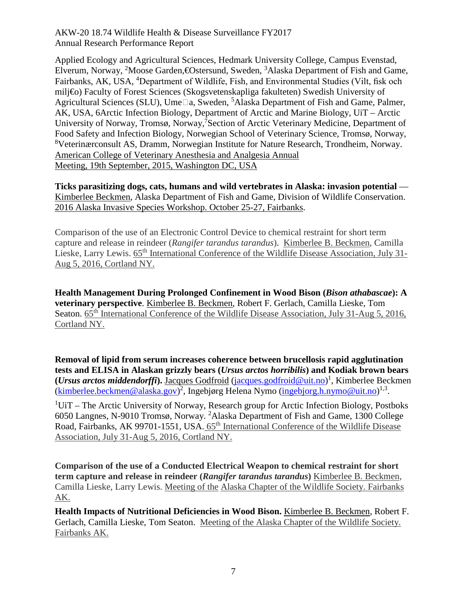AK, USA, 6Arctic Infection Biology, Department of Arctic and Marine Biology, UiT – Arctic Applied Ecology and Agricultural Sciences, Hedmark University College, Campus Evenstad, Elverum, Norway, <sup>2</sup>Moose Garden, **€Ostersund, Sweden, <sup>3</sup>Alaska Department of Fish and Game,** Fairbanks, AK, USA, <sup>4</sup>Department of Wildlife, Fish, and Environmental Studies (Vilt, fisk och milj€o) Faculty of Forest Sciences (Skogsvetenskapliga fakulteten) Swedish University of Agricultural Sciences (SLU), Ume $\Box$ a, Sweden, <sup>5</sup>Alaska Department of Fish and Game, Palmer, University of Norway, Tromsø, Norway, <sup>7</sup>Section of Arctic Veterinary Medicine, Department of Food Safety and Infection Biology, Norwegian School of Veterinary Science, Tromsø, Norway, 8 Veterinærconsult AS, Dramm, Norwegian Institute for Nature Research, Trondheim, Norway. American College of Veterinary Anesthesia and Analgesia Annual Meeting, 19th September, 2015, Washington DC, USA

**Ticks parasitizing dogs, cats, humans and wild vertebrates in Alaska: invasion potential** — Kimberlee Beckmen, Alaska Department of Fish and Game, Division of Wildlife Conservation. 2016 Alaska Invasive Species Workshop. October 25-27, Fairbanks.

Comparison of the use of an Electronic Control Device to chemical restraint for short term capture and release in reindeer (*Rangifer tarandus tarandus*). Kimberlee B. Beckmen, Camilla Lieske, Larry Lewis. 65<sup>th</sup> International Conference of the Wildlife Disease Association, July 31-Aug 5, 2016, Cortland NY.

**Health Management During Prolonged Confinement in Wood Bison (***Bison athabascae***): A veterinary perspective**. Kimberlee B. Beckmen, Robert F. Gerlach, Camilla Lieske, Tom Seaton. 65<sup>th</sup> International Conference of the Wildlife Disease Association, July 31-Aug 5, 2016, Cortland NY.

**Removal of lipid from serum increases coherence between brucellosis rapid agglutination tests and ELISA in Alaskan grizzly bears (***Ursus arctos horribilis***) and Kodiak brown bears (***Ursus arctos middendorffi***).** Jacques Godfroid [\(jacques.godfroid@uit.no\)](mailto:Jacques.godfroid@uit.no) 1 , Kimberlee Beckmen [\(kimberlee.beckmen@alaska.gov\)](mailto:kimberlee.beckmen@alaska.gov)<sup>2</sup>, Ingebjørg Helena Nymo [\(ingebjorg.h.nymo@uit.no\)](mailto:ingebjorg.h.nymo@uit.no)<sup>1,3</sup>.

<sup>1</sup>UiT – The Arctic University of Norway, Research group for Arctic Infection Biology, Postboks 6050 Langnes, N-9010 Tromsø, Norway. 2 Alaska Department of Fish and Game, 1300 College Road, Fairbanks, AK 99701-1551, USA. 65<sup>th</sup> International Conference of the Wildlife Disease Association, July 31-Aug 5, 2016, Cortland NY.

**Comparison of the use of a Conducted Electrical Weapon to chemical restraint for short term capture and release in reindeer (***Rangifer tarandus tarandus***)** Kimberlee B. Beckmen, Camilla Lieske, Larry Lewis. Meeting of the Alaska Chapter of the Wildlife Society. Fairbanks AK.

**Health Impacts of Nutritional Deficiencies in Wood Bison.** Kimberlee B. Beckmen, Robert F. Gerlach, Camilla Lieske, Tom Seaton. Meeting of the Alaska Chapter of the Wildlife Society. Fairbanks AK.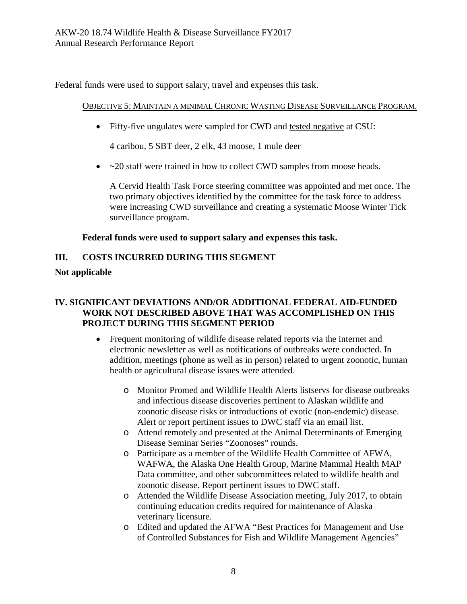Federal funds were used to support salary, travel and expenses this task.

#### OBJECTIVE 5: MAINTAIN A MINIMAL CHRONIC WASTING DISEASE SURVEILLANCE PROGRAM.

• Fifty-five ungulates were sampled for CWD and tested negative at CSU:

4 caribou, 5 SBT deer, 2 elk, 43 moose, 1 mule deer

• ~20 staff were trained in how to collect CWD samples from moose heads.

A Cervid Health Task Force steering committee was appointed and met once. The two primary objectives identified by the committee for the task force to address were increasing CWD surveillance and creating a systematic Moose Winter Tick surveillance program.

### **Federal funds were used to support salary and expenses this task.**

## **III. COSTS INCURRED DURING THIS SEGMENT**

### **Not applicable**

### **PROJECT DURING THIS SEGMENT PERIOD IV. SIGNIFICANT DEVIATIONS AND/OR ADDITIONAL FEDERAL AID-FUNDED WORK NOT DESCRIBED ABOVE THAT WAS ACCOMPLISHED ON THIS**

- electronic newsletter as well as notifications of outbreaks were conducted. In • Frequent monitoring of wildlife disease related reports via the internet and addition, meetings (phone as well as in person) related to urgent zoonotic, human health or agricultural disease issues were attended.
	- o Monitor Promed and Wildlife Health Alerts listservs for disease outbreaks and infectious disease discoveries pertinent to Alaskan wildlife and zoonotic disease risks or introductions of exotic (non-endemic) disease. Alert or report pertinent issues to DWC staff via an email list.
	- o Attend remotely and presented at the Animal Determinants of Emerging Disease Seminar Series "Zoonoses" rounds.
	- zoonotic disease. Report pertinent issues to DWC staff. o Participate as a member of the Wildlife Health Committee of AFWA, WAFWA, the Alaska One Health Group, Marine Mammal Health MAP Data committee, and other subcommittees related to wildlife health and
	- continuing education credits required for maintenance of Alaska o Attended the Wildlife Disease Association meeting, July 2017, to obtain veterinary licensure.
	- o Edited and updated the AFWA "Best Practices for Management and Use of Controlled Substances for Fish and Wildlife Management Agencies"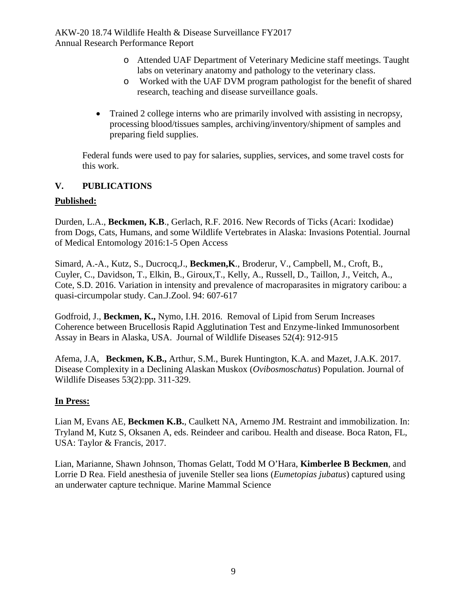- o Attended UAF Department of Veterinary Medicine staff meetings. Taught labs on veterinary anatomy and pathology to the veterinary class.
- o Worked with the UAF DVM program pathologist for the benefit of shared research, teaching and disease surveillance goals.
- Trained 2 college interns who are primarily involved with assisting in necropsy, processing blood/tissues samples, archiving/inventory/shipment of samples and preparing field supplies.

Federal funds were used to pay for salaries, supplies, services, and some travel costs for this work.

# **V. PUBLICATIONS**

# **Published:**

 Durden, L.A., **Beckmen, K.B**., Gerlach, R.F. 2016. New Records of Ticks (Acari: Ixodidae) from Dogs, Cats, Humans, and some Wildlife Vertebrates in Alaska: Invasions Potential. Journal of Medical Entomology 2016:1-5 Open Access

Simard, A.-A., Kutz, S., Ducrocq,J., **Beckmen,K**., Broderur, V., Campbell, M., Croft, B., Cuyler, C., Davidson, T., Elkin, B., Giroux,T., Kelly, A., Russell, D., Taillon, J., Veitch, A., Cote, S.D. 2016. Variation in intensity and prevalence of macroparasites in migratory caribou: a quasi-circumpolar study. Can.J.Zool. 94: 607-617

 Godfroid, J., **Beckmen, K.,** Nymo, I.H. 2016. Removal of Lipid from Serum Increases Coherence between Brucellosis Rapid Agglutination Test and Enzyme-linked Immunosorbent Assay in Bears in Alaska, USA. Journal of Wildlife Diseases 52(4): 912-915

 Afema, J.A, **Beckmen, K.B.,** Arthur, S.M., Burek Huntington, K.A. and Mazet, J.A.K. 2017. Disease Complexity in a Declining Alaskan Muskox (*Ovibosmoschatus*) Population. Journal of Wildlife Diseases 53(2):pp. 311-329.

# **In Press:**

Lian M, Evans AE, **Beckmen K.B.**, Caulkett NA, Arnemo JM. Restraint and immobilization. In: Tryland M, Kutz S, Oksanen A, eds. Reindeer and caribou. Health and disease. Boca Raton, FL, USA: Taylor & Francis, 2017.

 Lorrie D Rea. Field anesthesia of juvenile Steller sea lions (*Eumetopias jubatus*) captured using Lian, Marianne, Shawn Johnson, Thomas Gelatt, Todd M O'Hara, **Kimberlee B Beckmen**, and an underwater capture technique. Marine Mammal Science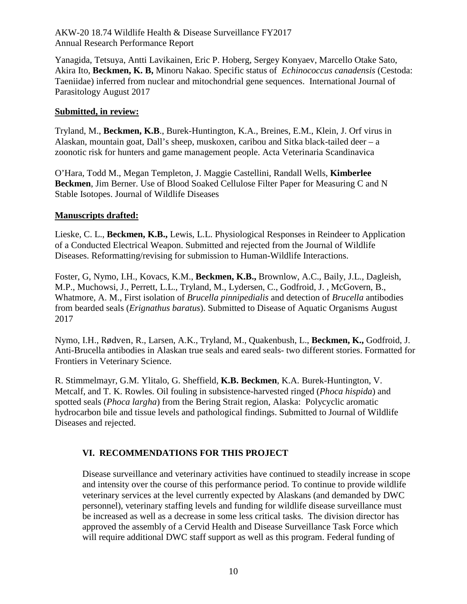Yanagida, Tetsuya, Antti Lavikainen, Eric P. Hoberg, Sergey Konyaev, Marcello Otake Sato, Akira Ito, **Beckmen, K. B,** Minoru Nakao. Specific status of *Echinococcus canadensis* (Cestoda: Taeniidae) inferred from nuclear and mitochondrial gene sequences. International Journal of Parasitology August 2017

#### **Submitted, in review:**

Tryland, M., **Beckmen, K.B**., Burek-Huntington, K.A., Breines, E.M., Klein, J. Orf virus in Alaskan, mountain goat, Dall's sheep, muskoxen, caribou and Sitka black-tailed deer – a zoonotic risk for hunters and game management people. Acta Veterinaria Scandinavica

 **Beckmen**, Jim Berner. Use of Blood Soaked Cellulose Filter Paper for Measuring C and N O'Hara, Todd M., Megan Templeton, J. Maggie Castellini, Randall Wells, **Kimberlee**  Stable Isotopes. Journal of Wildlife Diseases

#### **Manuscripts drafted:**

 Diseases. Reformatting/revising for submission to Human-Wildlife Interactions. Lieske, C. L., **Beckmen, K.B.,** Lewis, L.L. Physiological Responses in Reindeer to Application of a Conducted Electrical Weapon. Submitted and rejected from the Journal of Wildlife

 Whatmore, A. M., First isolation of *Brucella pinnipedialis* and detection of *Brucella* antibodies Foster, G, Nymo, I.H., Kovacs, K.M., **Beckmen, K.B.,** Brownlow, A.C., Baily, J.L., Dagleish, M.P., Muchowsi, J., Perrett, L.L., Tryland, M., Lydersen, C., Godfroid, J. , McGovern, B., from bearded seals (*Erignathus baratus*). Submitted to Disease of Aquatic Organisms August 2017

Nymo, I.H., Rødven, R., Larsen, A.K., Tryland, M., Quakenbush, L., **Beckmen, K.,** Godfroid, J. Anti-Brucella antibodies in Alaskan true seals and eared seals- two different stories. Formatted for Frontiers in Veterinary Science.

R. Stimmelmayr, G.M. Ylitalo, G. Sheffield, **K.B. Beckmen**, K.A. Burek-Huntington, V. Metcalf, and T. K. Rowles. Oil fouling in subsistence-harvested ringed (*Phoca hispida*) and spotted seals (*Phoca largha*) from the Bering Strait region, Alaska: Polycyclic aromatic hydrocarbon bile and tissue levels and pathological findings. Submitted to Journal of Wildlife Diseases and rejected.

## **VI. RECOMMENDATIONS FOR THIS PROJECT**

 veterinary services at the level currently expected by Alaskans (and demanded by DWC personnel), veterinary staffing levels and funding for wildlife disease surveillance must approved the assembly of a Cervid Health and Disease Surveillance Task Force which Disease surveillance and veterinary activities have continued to steadily increase in scope and intensity over the course of this performance period. To continue to provide wildlife be increased as well as a decrease in some less critical tasks. The division director has will require additional DWC staff support as well as this program. Federal funding of